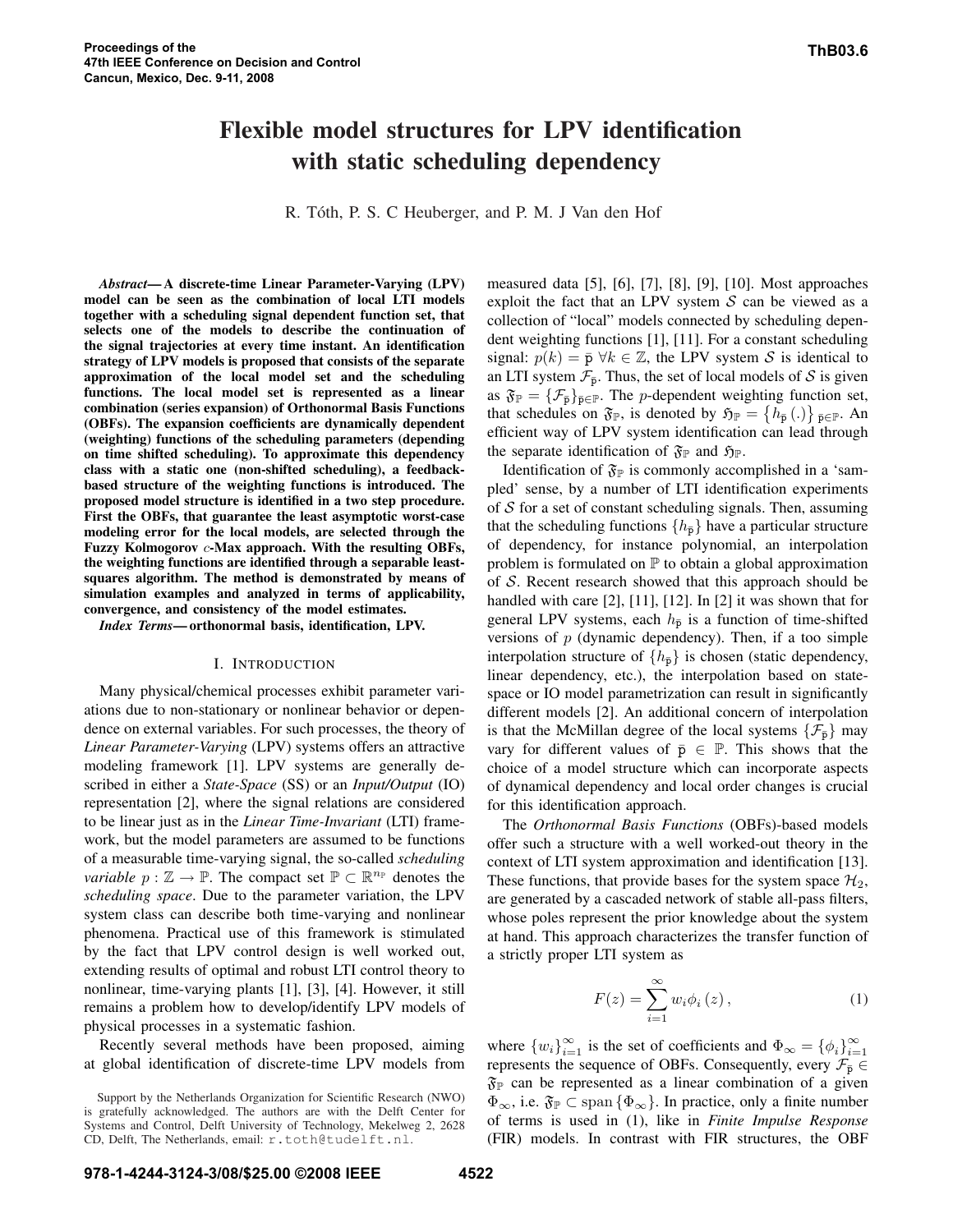# Flexible model structures for LPV identification with static scheduling dependency

R. Tóth, P. S. C Heuberger, and P. M. J Van den Hof

*Abstract*—A discrete-time Linear Parameter-Varying (LPV) model can be seen as the combination of local LTI models together with a scheduling signal dependent function set, that selects one of the models to describe the continuation of the signal trajectories at every time instant. An identification strategy of LPV models is proposed that consists of the separate approximation of the local model set and the scheduling functions. The local model set is represented as a linear combination (series expansion) of Orthonormal Basis Functions (OBFs). The expansion coefficients are dynamically dependent (weighting) functions of the scheduling parameters (depending on time shifted scheduling). To approximate this dependency class with a static one (non-shifted scheduling), a feedbackbased structure of the weighting functions is introduced. The proposed model structure is identified in a two step procedure. First the OBFs, that guarantee the least asymptotic worst-case modeling error for the local models, are selected through the Fuzzy Kolmogorov c-Max approach. With the resulting OBFs, the weighting functions are identified through a separable leastsquares algorithm. The method is demonstrated by means of simulation examples and analyzed in terms of applicability, convergence, and consistency of the model estimates.

*Index Terms*—orthonormal basis, identification, LPV.

#### I. INTRODUCTION

Many physical/chemical processes exhibit parameter variations due to non-stationary or nonlinear behavior or dependence on external variables. For such processes, the theory of *Linear Parameter-Varying* (LPV) systems offers an attractive modeling framework [1]. LPV systems are generally described in either a *State-Space* (SS) or an *Input/Output* (IO) representation [2], where the signal relations are considered to be linear just as in the *Linear Time-Invariant* (LTI) framework, but the model parameters are assumed to be functions of a measurable time-varying signal, the so-called *scheduling variable*  $p : \mathbb{Z} \to \mathbb{P}$ . The compact set  $\mathbb{P} \subset \mathbb{R}^{n_{\mathbb{P}}}$  denotes the *scheduling space*. Due to the parameter variation, the LPV system class can describe both time-varying and nonlinear phenomena. Practical use of this framework is stimulated by the fact that LPV control design is well worked out, extending results of optimal and robust LTI control theory to nonlinear, time-varying plants [1], [3], [4]. However, it still remains a problem how to develop/identify LPV models of physical processes in a systematic fashion.

Recently several methods have been proposed, aiming at global identification of discrete-time LPV models from measured data [5], [6], [7], [8], [9], [10]. Most approaches exploit the fact that an LPV system  $S$  can be viewed as a collection of "local" models connected by scheduling dependent weighting functions [1], [11]. For a constant scheduling signal:  $p(k) = \bar{p} \forall k \in \mathbb{Z}$ , the LPV system S is identical to an LTI system  $\mathcal{F}_{\bar{p}}$ . Thus, the set of local models of S is given as  $\mathfrak{F}_{\mathbb{P}} = {\{\mathcal{F}_{\bar{\mathbf{p}}}\}_{\bar{\mathbf{p}} \in \mathbb{P}}}$ . The *p*-dependent weighting function set, that schedules on  $\mathfrak{F}_{\mathbb{P}}$ , is denoted by  $\mathfrak{H}_{\mathbb{P}} = \{h_{\bar{\mathbb{P}}}(.)\}$   $_{\bar{\mathbb{P}} \in \mathbb{P}}$ . An efficient way of LPV system identification can lead through the separate identification of  $\mathfrak{F}_{\mathbb{P}}$  and  $\mathfrak{H}_{\mathbb{P}}$ .

Identification of  $\mathfrak{F}_{\mathbb{P}}$  is commonly accomplished in a 'sampled' sense, by a number of LTI identification experiments of  $S$  for a set of constant scheduling signals. Then, assuming that the scheduling functions  $\{h_{\bar{p}}\}$  have a particular structure of dependency, for instance polynomial, an interpolation problem is formulated on  $\mathbb P$  to obtain a global approximation of S. Recent research showed that this approach should be handled with care [2], [11], [12]. In [2] it was shown that for general LPV systems, each  $h_{\overline{p}}$  is a function of time-shifted versions of  $p$  (dynamic dependency). Then, if a too simple interpolation structure of  $\{h_{\bar{p}}\}$  is chosen (static dependency, linear dependency, etc.), the interpolation based on statespace or IO model parametrization can result in significantly different models [2]. An additional concern of interpolation is that the McMillan degree of the local systems  $\{\mathcal{F}_{\bar{p}}\}$  may vary for different values of  $\bar{p} \in \mathbb{P}$ . This shows that the choice of a model structure which can incorporate aspects of dynamical dependency and local order changes is crucial for this identification approach.

The *Orthonormal Basis Functions* (OBFs)-based models offer such a structure with a well worked-out theory in the context of LTI system approximation and identification [13]. These functions, that provide bases for the system space  $\mathcal{H}_2$ , are generated by a cascaded network of stable all-pass filters, whose poles represent the prior knowledge about the system at hand. This approach characterizes the transfer function of a strictly proper LTI system as

$$
F(z) = \sum_{i=1}^{\infty} w_i \phi_i(z), \qquad (1)
$$

where  ${w_i}_{i=1}^{\infty}$  is the set of coefficients and  $\Phi_{\infty} = {\phi_i}_{i=1}^{\infty}$ represents the sequence of OBFs. Consequently, every  $\mathcal{F}_{\bar{p}} \in$  $\mathfrak{F}_\mathbb{P}$  can be represented as a linear combination of a given  $\Phi_{\infty}$ , i.e.  $\mathfrak{F}_{\mathbb{P}} \subset \text{span} \{ \Phi_{\infty} \}$ . In practice, only a finite number of terms is used in (1), like in *Finite Impulse Response* (FIR) models. In contrast with FIR structures, the OBF

Support by the Netherlands Organization for Scientific Research (NWO) is gratefully acknowledged. The authors are with the Delft Center for Systems and Control, Delft University of Technology, Mekelweg 2, 2628 CD, Delft, The Netherlands, email: r.toth@tudelft.nl.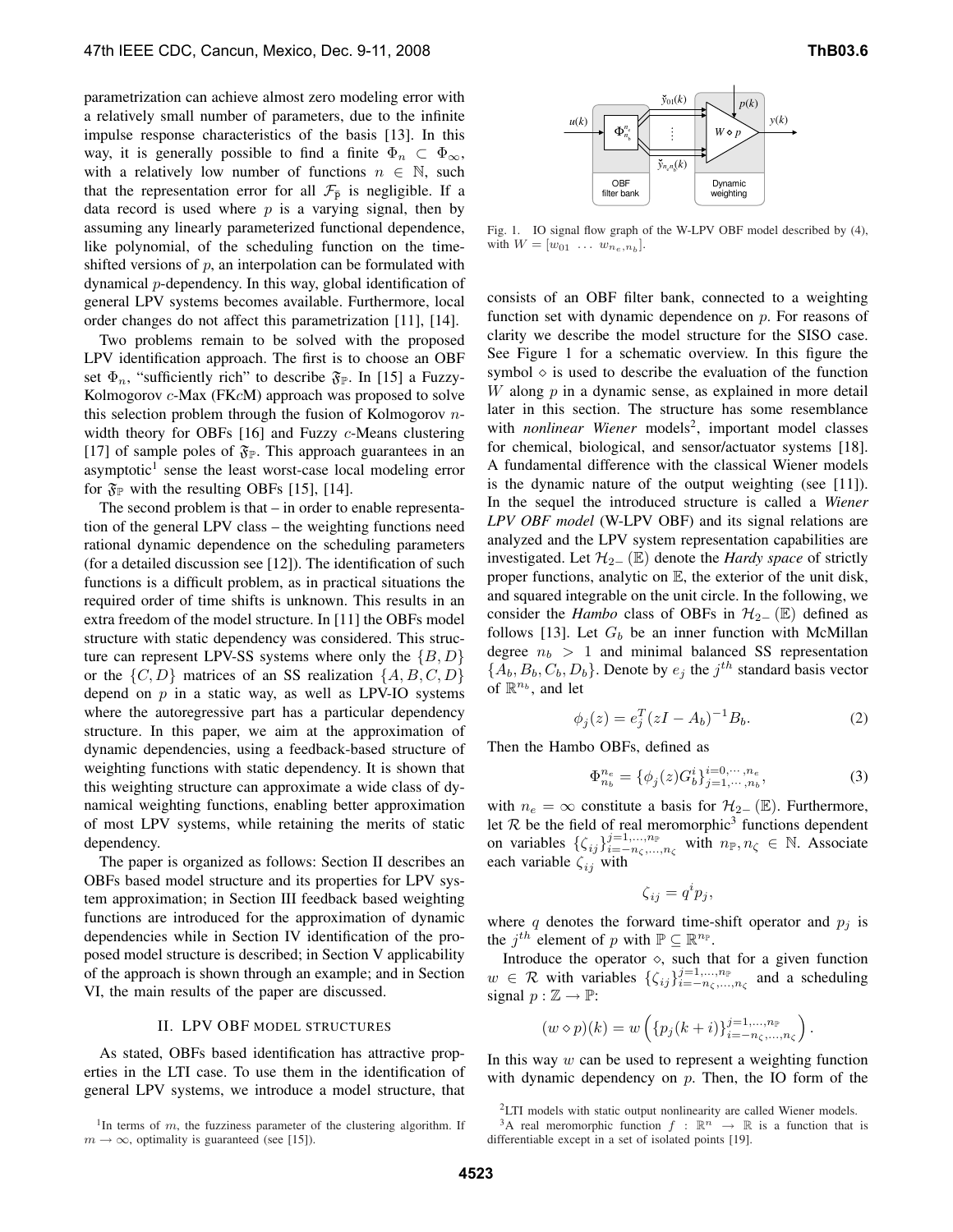parametrization can achieve almost zero modeling error with a relatively small number of parameters, due to the infinite impulse response characteristics of the basis [13]. In this way, it is generally possible to find a finite  $\Phi_n \subset \Phi_{\infty}$ , with a relatively low number of functions  $n \in \mathbb{N}$ , such that the representation error for all  $\mathcal{F}_{\bar{p}}$  is negligible. If a data record is used where  $p$  is a varying signal, then by assuming any linearly parameterized functional dependence, like polynomial, of the scheduling function on the timeshifted versions of  $p$ , an interpolation can be formulated with dynamical p-dependency. In this way, global identification of general LPV systems becomes available. Furthermore, local order changes do not affect this parametrization [11], [14].

Two problems remain to be solved with the proposed LPV identification approach. The first is to choose an OBF set  $\Phi_n$ , "sufficiently rich" to describe  $\mathfrak{F}_P$ . In [15] a Fuzzy-Kolmogorov c-Max (FKcM) approach was proposed to solve this selection problem through the fusion of Kolmogorov  $n$ width theory for OBFs  $[16]$  and Fuzzy c-Means clustering [17] of sample poles of  $\mathfrak{F}_P$ . This approach guarantees in an asymptotic<sup>1</sup> sense the least worst-case local modeling error for  $\mathfrak{F}_P$  with the resulting OBFs [15], [14].

The second problem is that – in order to enable representation of the general LPV class – the weighting functions need rational dynamic dependence on the scheduling parameters (for a detailed discussion see [12]). The identification of such functions is a difficult problem, as in practical situations the required order of time shifts is unknown. This results in an extra freedom of the model structure. In [11] the OBFs model structure with static dependency was considered. This structure can represent LPV-SS systems where only the  $\{B, D\}$ or the  $\{C, D\}$  matrices of an SS realization  $\{A, B, C, D\}$ depend on  $p$  in a static way, as well as LPV-IO systems where the autoregressive part has a particular dependency structure. In this paper, we aim at the approximation of dynamic dependencies, using a feedback-based structure of weighting functions with static dependency. It is shown that this weighting structure can approximate a wide class of dynamical weighting functions, enabling better approximation of most LPV systems, while retaining the merits of static dependency.

The paper is organized as follows: Section II describes an OBFs based model structure and its properties for LPV system approximation; in Section III feedback based weighting functions are introduced for the approximation of dynamic dependencies while in Section IV identification of the proposed model structure is described; in Section V applicability of the approach is shown through an example; and in Section VI, the main results of the paper are discussed.

#### II. LPV OBF MODEL STRUCTURES

As stated, OBFs based identification has attractive properties in the LTI case. To use them in the identification of general LPV systems, we introduce a model structure, that



Fig. 1. IO signal flow graph of the W-LPV OBF model described by (4), with  $W = [w_{01} \dots w_{n_e, n_b}].$ 

consists of an OBF filter bank, connected to a weighting function set with dynamic dependence on  $p$ . For reasons of clarity we describe the model structure for the SISO case. See Figure 1 for a schematic overview. In this figure the symbol  $\diamond$  is used to describe the evaluation of the function W along  $p$  in a dynamic sense, as explained in more detail later in this section. The structure has some resemblance with *nonlinear* Wiener models<sup>2</sup>, important model classes for chemical, biological, and sensor/actuator systems [18]. A fundamental difference with the classical Wiener models is the dynamic nature of the output weighting (see [11]). In the sequel the introduced structure is called a *Wiener LPV OBF model* (W-LPV OBF) and its signal relations are analyzed and the LPV system representation capabilities are investigated. Let  $\mathcal{H}_{2−}(\mathbb{E})$  denote the *Hardy space* of strictly proper functions, analytic on  $E$ , the exterior of the unit disk, and squared integrable on the unit circle. In the following, we consider the *Hambo* class of OBFs in  $H_{2-}(\mathbb{E})$  defined as follows [13]. Let  $G_b$  be an inner function with McMillan degree  $n_b > 1$  and minimal balanced SS representation  $\{A_b, B_b, C_b, D_b\}$ . Denote by  $e_j$  the  $j^{th}$  standard basis vector of  $\mathbb{R}^{n_b}$ , and let

$$
\phi_j(z) = e_j^T (zI - A_b)^{-1} B_b.
$$
 (2)

Then the Hambo OBFs, defined as

$$
\Phi_{n_b}^{n_e} = \{ \phi_j(z) G_b^i \}_{j=1,\cdots,n_b}^{i=0,\cdots,n_e},\tag{3}
$$

.

with  $n_e = \infty$  constitute a basis for  $\mathcal{H}_{2-}(\mathbb{E})$ . Furthermore, let  $R$  be the field of real meromorphic<sup>3</sup> functions dependent on variables  $\{\zeta_{ij}\}_{i=-n_\zeta,\dots,n_\zeta}^{j=1,\dots,n_\mathbb{P}}$  with  $n_\mathbb{P}, n_\zeta \in \mathbb{N}$ . Associate each variable  $\zeta_{ij}$  with

$$
\zeta_{ij} = q^i p_j,
$$

where q denotes the forward time-shift operator and  $p_j$  is the  $j^{th}$  element of p with  $\mathbb{P} \subseteq \mathbb{R}^{n_{\mathbb{P}}}.$ 

Introduce the operator  $\diamond$ , such that for a given function  $w \in \mathcal{R}$  with variables  $\{\zeta_{ij}\}_{i=-n_{\zeta},...,n_{\zeta}}^{j=1,...,n_{\mathbb{P}}}$  and a scheduling signal  $p : \mathbb{Z} \to \mathbb{P}$ :

$$
(w \diamond p)(k) = w\left(\{p_j(k+i)\}_{i=-n_\zeta,\ldots,n_\zeta}^{j=1,\ldots,n_\mathbb{P}}\right)
$$

In this way  $w$  can be used to represent a weighting function with dynamic dependency on  $p$ . Then, the IO form of the

<sup>&</sup>lt;sup>1</sup>In terms of  $m$ , the fuzziness parameter of the clustering algorithm. If  $m \to \infty$ , optimality is guaranteed (see [15]).

<sup>&</sup>lt;sup>2</sup>LTI models with static output nonlinearity are called Wiener models.

<sup>&</sup>lt;sup>3</sup>A real meromorphic function  $f : \mathbb{R}^n \to \mathbb{R}$  is a function that is differentiable except in a set of isolated points [19].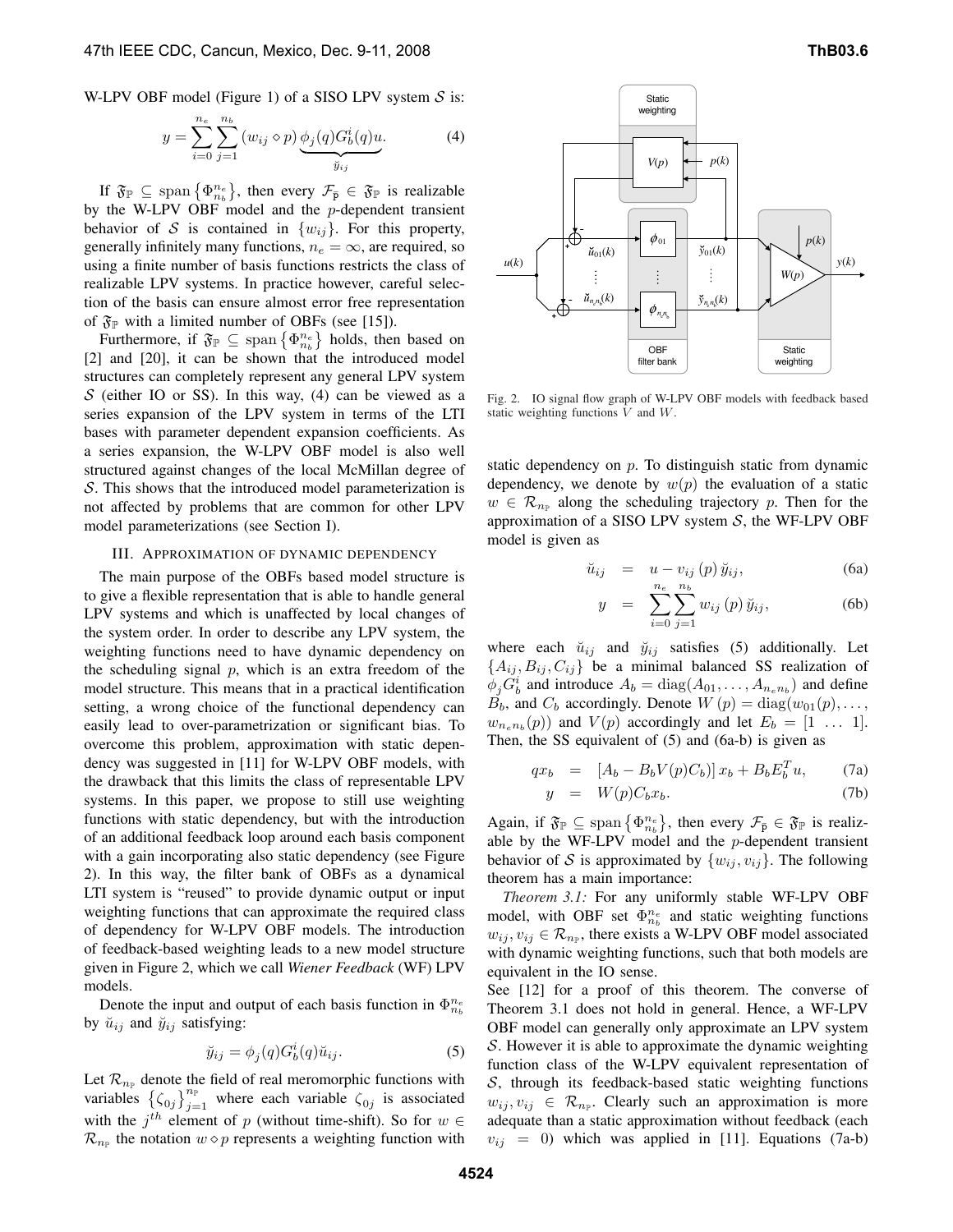W-LPV OBF model (Figure 1) of a SISO LPV system  $S$  is:

$$
y = \sum_{i=0}^{n_e} \sum_{j=1}^{n_b} (w_{ij} \diamond p) \underbrace{\phi_j(q) G_b^i(q) u}_{\check{y}_{ij}}.
$$
 (4)

If  $\mathfrak{F}_{\mathbb{P}} \subseteq \text{span} \{ \Phi_{n_b}^{n_e} \}$ , then every  $\mathcal{F}_{\bar{\mathbb{P}}} \in \mathfrak{F}_{\mathbb{P}}$  is realizable by the W-LPV OBF model and the p-dependent transient behavior of S is contained in  $\{w_{ij}\}\$ . For this property, generally infinitely many functions,  $n_e = \infty$ , are required, so using a finite number of basis functions restricts the class of realizable LPV systems. In practice however, careful selection of the basis can ensure almost error free representation of  $\mathfrak{F}_\mathbb{P}$  with a limited number of OBFs (see [15]).

Furthermore, if  $\mathfrak{F}_{\mathbb{P}} \subseteq \text{span} \left\{ \Phi_{n_b}^{n_e} \right\}$  holds, then based on [2] and [20], it can be shown that the introduced model structures can completely represent any general LPV system S (either IO or SS). In this way,  $(4)$  can be viewed as a series expansion of the LPV system in terms of the LTI bases with parameter dependent expansion coefficients. As a series expansion, the W-LPV OBF model is also well structured against changes of the local McMillan degree of S. This shows that the introduced model parameterization is not affected by problems that are common for other LPV model parameterizations (see Section I).

### III. APPROXIMATION OF DYNAMIC DEPENDENCY

The main purpose of the OBFs based model structure is to give a flexible representation that is able to handle general LPV systems and which is unaffected by local changes of the system order. In order to describe any LPV system, the weighting functions need to have dynamic dependency on the scheduling signal  $p$ , which is an extra freedom of the model structure. This means that in a practical identification setting, a wrong choice of the functional dependency can easily lead to over-parametrization or significant bias. To overcome this problem, approximation with static dependency was suggested in [11] for W-LPV OBF models, with the drawback that this limits the class of representable LPV systems. In this paper, we propose to still use weighting functions with static dependency, but with the introduction of an additional feedback loop around each basis component with a gain incorporating also static dependency (see Figure 2). In this way, the filter bank of OBFs as a dynamical LTI system is "reused" to provide dynamic output or input weighting functions that can approximate the required class of dependency for W-LPV OBF models. The introduction of feedback-based weighting leads to a new model structure given in Figure 2, which we call *Wiener Feedback* (WF) LPV models.

Denote the input and output of each basis function in  $\Phi_{n_b}^{n_e}$ by  $\breve{u}_{ij}$  and  $\breve{y}_{ij}$  satisfying:

$$
\breve{y}_{ij} = \phi_j(q) G_b^i(q) \breve{u}_{ij}.
$$
 (5)

Let  $\mathcal{R}_{n_{\rm P}}$  denote the field of real meromorphic functions with variables  $\left\{\zeta_{0j}\right\}_{j=1}^{n_{\mathbb{P}}}$  where each variable  $\zeta_{0j}$  is associated with the  $j^{th}$  element of p (without time-shift). So for  $w \in$  $\mathcal{R}_{n_{\rm P}}$  the notation  $w \diamond p$  represents a weighting function with



Fig. 2. IO signal flow graph of W-LPV OBF models with feedback based static weighting functions  $V$  and  $W$ .

static dependency on  $p$ . To distinguish static from dynamic dependency, we denote by  $w(p)$  the evaluation of a static  $w \in \mathcal{R}_{n_{\text{P}}}$  along the scheduling trajectory p. Then for the approximation of a SISO LPV system  $S$ , the WF-LPV OBF model is given as

$$
\breve{u}_{ij} = u - v_{ij}(p) \breve{y}_{ij}, \qquad (6a)
$$

$$
y = \sum_{i=0}^{n_e} \sum_{j=1}^{n_b} w_{ij} (p) \, \breve{y}_{ij}, \tag{6b}
$$

where each  $\breve{u}_{ij}$  and  $\breve{y}_{ij}$  satisfies (5) additionally. Let  ${A_{ij}, B_{ij}, C_{ij}}$  be a minimal balanced SS realization of  $\phi_j \tilde{G}_b^i$  and introduce  $A_b = \text{diag}(A_{01}, \dots, A_{n_e n_b})$  and define  $B_b$ , and  $C_b$  accordingly. Denote  $W(p) = \text{diag}(w_{01}(p), \ldots,$  $w_{n_e n_b}(p)$  and  $V(p)$  accordingly and let  $E_b = [1 \dots 1].$ Then, the SS equivalent of (5) and (6a-b) is given as

$$
qx_b = [A_b - B_b V(p) C_b)] x_b + B_b E_b^T u,
$$
 (7a)

$$
y = W(p)C_b x_b. \tag{7b}
$$

Again, if  $\mathfrak{F}_{\mathbb{P}} \subseteq \text{span} \{ \Phi_{n_b}^{n_e} \}$ , then every  $\mathcal{F}_{\bar{\mathbb{P}}} \in \mathfrak{F}_{\mathbb{P}}$  is realizable by the WF-LPV model and the p-dependent transient behavior of S is approximated by  $\{w_{ij}, v_{ij}\}$ . The following theorem has a main importance:

*Theorem 3.1:* For any uniformly stable WF-LPV OBF model, with OBF set  $\Phi_{n_b}^{n_e}$  and static weighting functions  $w_{ij}, v_{ij} \in \mathcal{R}_{n_{\rm P}}$ , there exists a W-LPV OBF model associated with dynamic weighting functions, such that both models are equivalent in the IO sense.

See [12] for a proof of this theorem. The converse of Theorem 3.1 does not hold in general. Hence, a WF-LPV OBF model can generally only approximate an LPV system S. However it is able to approximate the dynamic weighting function class of the W-LPV equivalent representation of  $S$ , through its feedback-based static weighting functions  $w_{ij}, v_{ij} \in \mathcal{R}_{n_{\mathbb{P}}}$ . Clearly such an approximation is more adequate than a static approximation without feedback (each  $v_{ij} = 0$ ) which was applied in [11]. Equations (7a-b)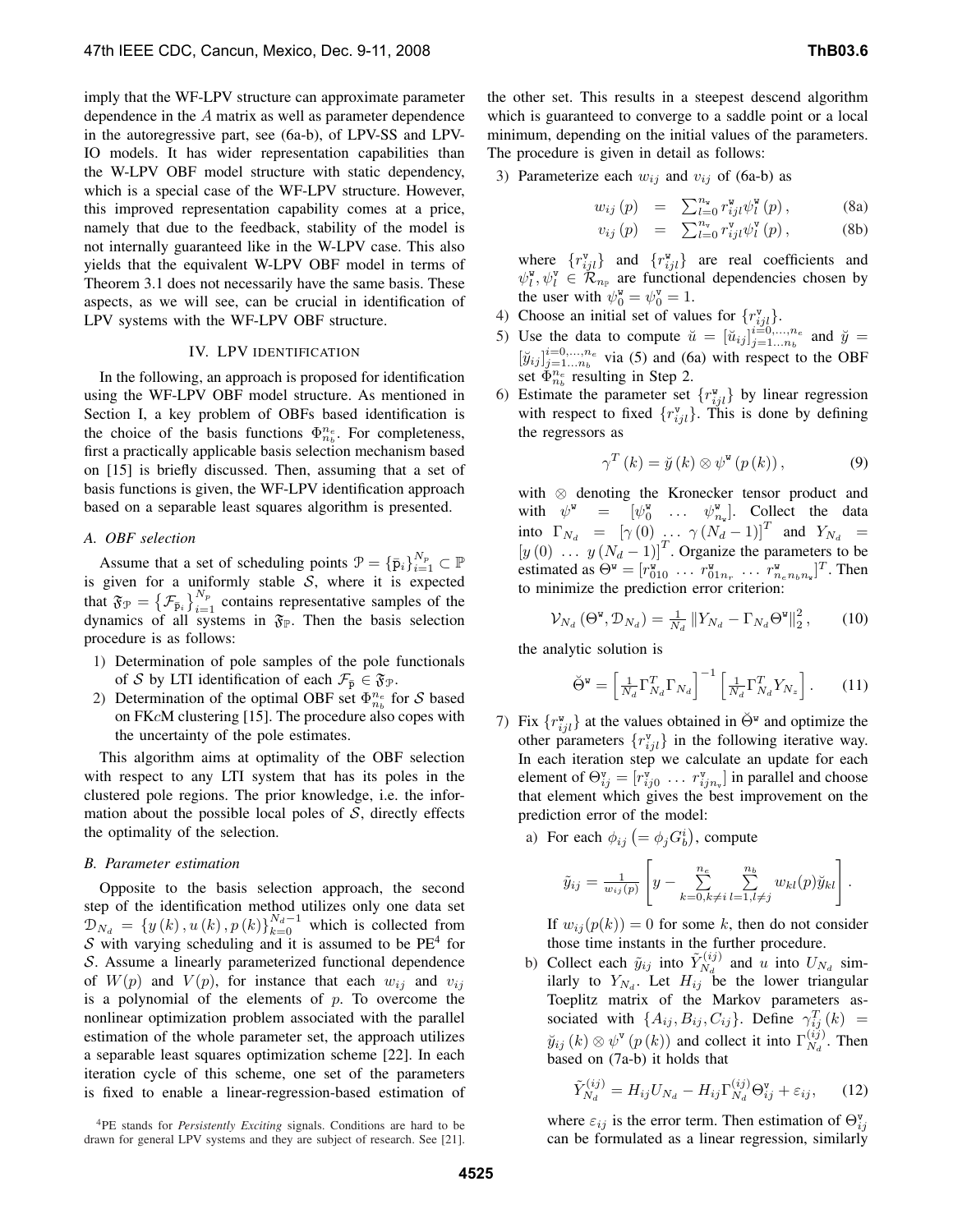imply that the WF-LPV structure can approximate parameter dependence in the A matrix as well as parameter dependence in the autoregressive part, see (6a-b), of LPV-SS and LPV-IO models. It has wider representation capabilities than the W-LPV OBF model structure with static dependency, which is a special case of the WF-LPV structure. However, this improved representation capability comes at a price, namely that due to the feedback, stability of the model is not internally guaranteed like in the W-LPV case. This also yields that the equivalent W-LPV OBF model in terms of Theorem 3.1 does not necessarily have the same basis. These aspects, as we will see, can be crucial in identification of LPV systems with the WF-LPV OBF structure.

## IV. LPV IDENTIFICATION

In the following, an approach is proposed for identification using the WF-LPV OBF model structure. As mentioned in Section I, a key problem of OBFs based identification is the choice of the basis functions  $\Phi_{n_b}^{n_e}$ . For completeness, first a practically applicable basis selection mechanism based on [15] is briefly discussed. Then, assuming that a set of basis functions is given, the WF-LPV identification approach based on a separable least squares algorithm is presented.

## *A. OBF selection*

Assume that a set of scheduling points  $\mathcal{P} = \{\bar{p}_i\}_{i=1}^{N_p} \subset \mathbb{P}$ is given for a uniformly stable  $S$ , where it is expected that  $\mathfrak{F}_{\mathcal{P}} = \left\{ \mathcal{F}_{\bar{\mathbf{p}}_i} \right\}_{i=1}^{N_p}$  contains representative samples of the dynamics of all systems in  $\mathfrak{F}_P$ . Then the basis selection procedure is as follows:

- 1) Determination of pole samples of the pole functionals of S by LTI identification of each  $\mathcal{F}_{\bar{p}} \in \mathfrak{F}_{\mathcal{P}}$ .
- 2) Determination of the optimal OBF set  $\Phi_{n_b}^{n_e}$  for S based on FKcM clustering [15]. The procedure also copes with the uncertainty of the pole estimates.

This algorithm aims at optimality of the OBF selection with respect to any LTI system that has its poles in the clustered pole regions. The prior knowledge, i.e. the information about the possible local poles of  $S$ , directly effects the optimality of the selection.

## *B. Parameter estimation*

Opposite to the basis selection approach, the second step of the identification method utilizes only one data set  $\mathcal{D}_{N_d} = \{y(k), u(k), p(k)\}_{k=0}^{N_d-1}$  which is collected from S with varying scheduling and it is assumed to be  $PE<sup>4</sup>$  for S. Assume a linearly parameterized functional dependence of  $W(p)$  and  $V(p)$ , for instance that each  $w_{ij}$  and  $v_{ij}$ is a polynomial of the elements of  $p$ . To overcome the nonlinear optimization problem associated with the parallel estimation of the whole parameter set, the approach utilizes a separable least squares optimization scheme [22]. In each iteration cycle of this scheme, one set of the parameters is fixed to enable a linear-regression-based estimation of the other set. This results in a steepest descend algorithm which is guaranteed to converge to a saddle point or a local minimum, depending on the initial values of the parameters. The procedure is given in detail as follows:

3) Parameterize each  $w_{ij}$  and  $v_{ij}$  of (6a-b) as

$$
w_{ij}(p) = \sum_{l=0}^{n_u} r_{ijl}^{\mathbf{w}} \psi_l^{\mathbf{w}}(p), \qquad (8a)
$$

$$
v_{ij}(p) = \sum_{l=0}^{n_{\rm v}} r_{ijl}^{\rm v} \psi_l^{\rm v}(p) , \qquad (8b)
$$

where  $\{r_{ijl}^{\mathbf{v}}\}$  and  $\{r_{ijl}^{\mathbf{w}}\}$  are real coefficients and  $\psi_l^{\mathbf{w}}, \psi_l^{\mathbf{v}} \in \mathcal{R}_{n_{\text{F}}}$  are functional dependencies chosen by the user with  $\psi_0^{\mathbf{w}} = \psi_0^{\mathbf{v}} = 1$ .

- 4) Choose an initial set of values for  $\{r_{ijl}^{\mathbf{v}}\}$ .
- 5) Use the data to compute  $\breve{u} = [\breve{u}_{ij}]_{j=1...n_b}^{i=0,...,n_e}$  and  $\breve{y} =$  $[\ddot{y}_{ij}]_{j=1...n_b}^{i=0,...,n_e}$  via (5) and (6a) with respect to the OBF set  $\Phi_{n_b}^{n_e}$  resulting in Step 2.
- 6) Estimate the parameter set  $\{r_{ijl}^{\mathbf{w}}\}$  by linear regression with respect to fixed  $\{r_{ijl}^{\mathbf{v}}\}$ . This is done by defining the regressors as

$$
\gamma^{T}\left(k\right) = \breve{y}\left(k\right) \otimes \psi^{\mathbf{w}}\left(p\left(k\right)\right),\tag{9}
$$

with ⊗ denoting the Kronecker tensor product and with  $\psi^{\mathsf{w}} = [\psi^{\mathsf{w}}_0 \dots \psi^{\mathsf{w}}_{n_{\mathsf{w}}}]$ . Collect the data into  $\Gamma_{N_d} = [\gamma(0) \dots \gamma(N_d - 1)]^T$  and  $Y_{N_d} =$  $[y(0) \dots y(N_d-1)]^T$ . Organize the parameters to be estimated as  $\Theta^{\mathbf{w}} = [r_{010}^{\mathbf{w}} \dots r_{01n_r}^{\mathbf{w}} \dots r_{n_e n_b n_u}^{\mathbf{w}}]^T$ . Then to minimize the prediction error criterion:

$$
\mathcal{V}_{N_d}(\Theta^{\mathbf{w}}, \mathcal{D}_{N_d}) = \frac{1}{N_d} ||Y_{N_d} - \Gamma_{N_d} \Theta^{\mathbf{w}}||_2^2, \qquad (10)
$$

the analytic solution is

$$
\breve{\Theta}^{\mathtt{w}} = \left[\frac{1}{N_d} \Gamma_{N_d}^T \Gamma_{N_d}\right]^{-1} \left[\frac{1}{N_d} \Gamma_{N_d}^T Y_{N_z}\right].\tag{11}
$$

- 7) Fix  $\{r_{ijl}^{\mathbf{w}}\}$  at the values obtained in  $\check{\Theta}^{\mathbf{w}}$  and optimize the other parameters  $\{r_{ijl}^{\mathbf{v}}\}$  in the following iterative way. In each iteration step we calculate an update for each element of  $\Theta_{ij}^{\mathbf{v}} = [r_{ij0}^{\mathbf{v}} \dots r_{ijn_{\mathbf{v}}}^{\mathbf{v}}]$  in parallel and choose that element which gives the best improvement on the prediction error of the model:
	- a) For each  $\phi_{ij}$   $(=\phi_j G_b^i)$ , compute

$$
\tilde{y}_{ij} = \frac{1}{w_{ij}(p)} \left[ y - \sum_{k=0, k \neq i}^{n_e} \sum_{l=1, l \neq j}^{n_b} w_{kl}(p) \breve{y}_{kl} \right].
$$

If  $w_{ij}(p(k)) = 0$  for some k, then do not consider those time instants in the further procedure.

b) Collect each  $\tilde{y}_{ij}$  into  $\tilde{Y}_{N_d}^{(ij)}$  $N_d^{(ij)}$  and u into  $U_{N_d}$  similarly to  $Y_{N_d}$ . Let  $H_{ij}$  be the lower triangular Toeplitz matrix of the Markov parameters associated with  $\{A_{ij}, B_{ij}, C_{ij}\}$ . Define  $\gamma_{ij}^T(k)$  =  $\ddot{y}_{ij}(k) \otimes \psi^{\texttt{v}}(p(k))$  and collect it into  $\Gamma_{N_A}^{(ij)}$  $\frac{N_d}{N_d}$ . Then based on (7a-b) it holds that

$$
\tilde{Y}_{N_d}^{(ij)} = H_{ij} U_{N_d} - H_{ij} \Gamma_{N_d}^{(ij)} \Theta_{ij}^{\mathbf{v}} + \varepsilon_{ij}, \qquad (12)
$$

where  $\varepsilon_{ij}$  is the error term. Then estimation of  $\Theta_{ij}^{\mathbf{v}}$ can be formulated as a linear regression, similarly

<sup>4</sup>PE stands for *Persistently Exciting* signals. Conditions are hard to be drawn for general LPV systems and they are subject of research. See [21].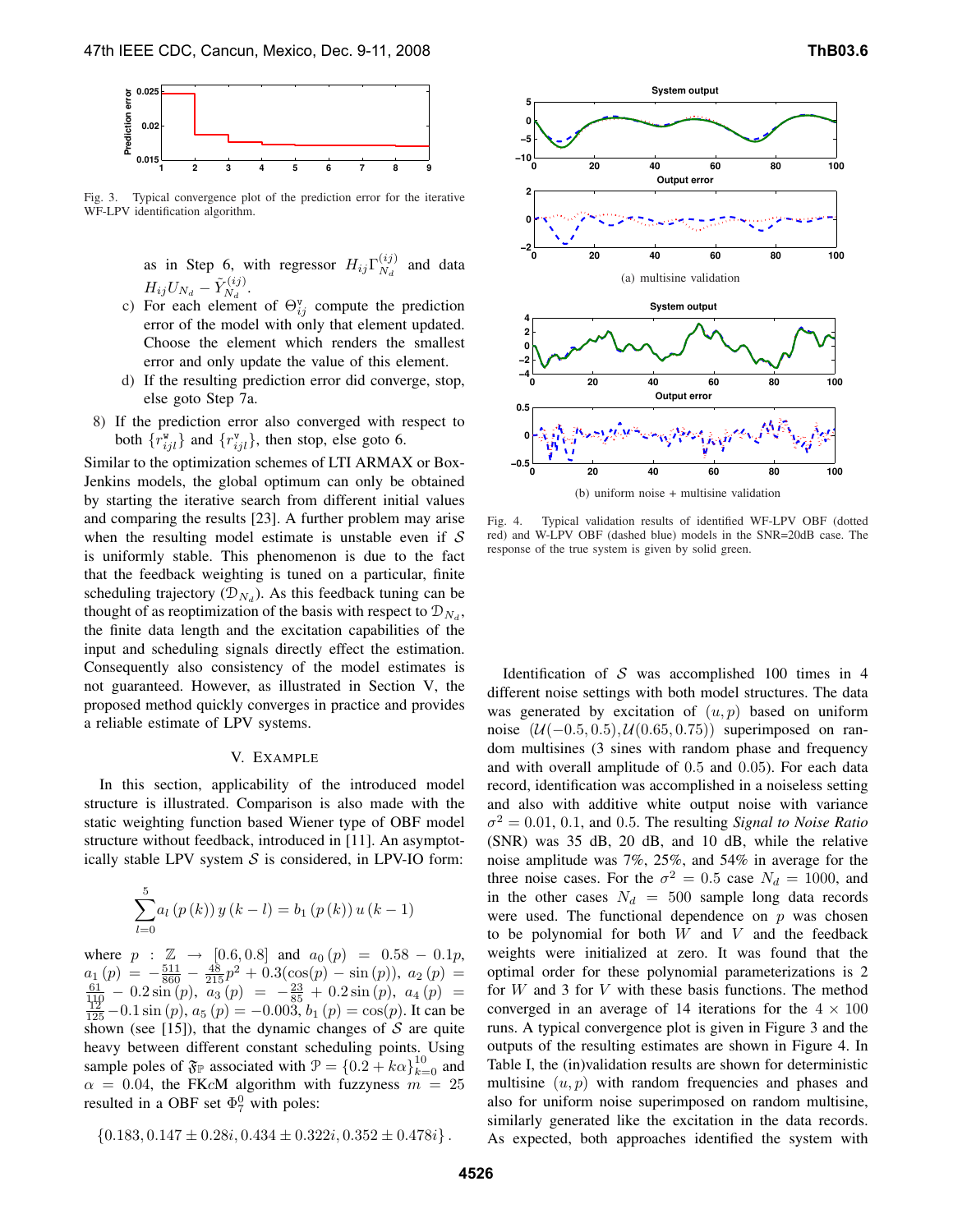

Fig. 3. Typical convergence plot of the prediction error for the iterative WF-LPV identification algorithm.

as in Step 6, with regressor  $H_{ij} \Gamma_{N_d}^{(ij)}$  $\frac{N_d}{N_d}$  and data  $H_{ij}U_{N_d}-\tilde{Y}_{N_d}^{(ij)}$  $\frac{N_{d}}{N_{d}}$ .

- c) For each element of  $\Theta_{ij}^{\text{v}}$  compute the prediction error of the model with only that element updated. Choose the element which renders the smallest error and only update the value of this element.
- d) If the resulting prediction error did converge, stop, else goto Step 7a.
- 8) If the prediction error also converged with respect to both  $\{r_{ijl}^{\mathbf{w}}\}$  and  $\{r_{ijl}^{\mathbf{v}}\}$ , then stop, else goto 6.

Similar to the optimization schemes of LTI ARMAX or Box-Jenkins models, the global optimum can only be obtained by starting the iterative search from different initial values and comparing the results [23]. A further problem may arise when the resulting model estimate is unstable even if  $S$ is uniformly stable. This phenomenon is due to the fact that the feedback weighting is tuned on a particular, finite scheduling trajectory  $(D_{N_d})$ . As this feedback tuning can be thought of as reoptimization of the basis with respect to  $\mathcal{D}_{N_d}$ , the finite data length and the excitation capabilities of the input and scheduling signals directly effect the estimation. Consequently also consistency of the model estimates is not guaranteed. However, as illustrated in Section V, the proposed method quickly converges in practice and provides a reliable estimate of LPV systems.

#### V. EXAMPLE

In this section, applicability of the introduced model structure is illustrated. Comparison is also made with the static weighting function based Wiener type of OBF model structure without feedback, introduced in [11]. An asymptotically stable LPV system  $S$  is considered, in LPV-IO form:

$$
\sum_{l=0}^{5} a_{l} (p(k)) y (k-l) = b_{1} (p(k)) u (k-1)
$$

where  $p : \mathbb{Z} \to [0.6, 0.8]$  and  $a_0(p) = 0.58 - 0.1p$ ,  $a_1(p) = -\frac{511}{860} - \frac{48}{215}p^2 + 0.3(\cos(p) - \sin(p)), a_2(p) = \frac{61}{120} - 0.2\sin(p), a_3(p) = -\frac{23}{85} + 0.2\sin(p), a_4(p) = \frac{12}{125} - 0.1\sin(p), a_5(p) = -0.003, b_1(p) = \cos(p)$ . It can be shown (see [15]), that the dynamic changes of  $S$  are quite heavy between different constant scheduling points. Using sample poles of  $\mathfrak{F}_P$  associated with  $\mathcal{P} = \{0.2 + k\alpha\}_{k=0}^{10}$  and  $\alpha = 0.04$ , the FKcM algorithm with fuzzyness  $m = 25$ resulted in a OBF set  $\Phi_7^0$  with poles:

$$
{0.183, 0.147 \pm 0.28i, 0.434 \pm 0.322i, 0.352 \pm 0.478i}.
$$



Fig. 4. Typical validation results of identified WF-LPV OBF (dotted red) and W-LPV OBF (dashed blue) models in the SNR=20dB case. The response of the true system is given by solid green.

Identification of  $S$  was accomplished 100 times in 4 different noise settings with both model structures. The data was generated by excitation of  $(u, p)$  based on uniform noise  $(U(-0.5, 0.5), U(0.65, 0.75))$  superimposed on random multisines (3 sines with random phase and frequency and with overall amplitude of 0.5 and 0.05). For each data record, identification was accomplished in a noiseless setting and also with additive white output noise with variance  $\sigma^2 = 0.01, 0.1$ , and 0.5. The resulting *Signal to Noise Ratio* (SNR) was 35 dB, 20 dB, and 10 dB, while the relative noise amplitude was 7%, 25%, and 54% in average for the three noise cases. For the  $\sigma^2 = 0.5$  case  $N_d = 1000$ , and in the other cases  $N_d = 500$  sample long data records were used. The functional dependence on  $p$  was chosen to be polynomial for both  $W$  and  $V$  and the feedback weights were initialized at zero. It was found that the optimal order for these polynomial parameterizations is 2 for  $W$  and 3 for  $V$  with these basis functions. The method converged in an average of 14 iterations for the  $4 \times 100$ runs. A typical convergence plot is given in Figure 3 and the outputs of the resulting estimates are shown in Figure 4. In Table I, the (in)validation results are shown for deterministic multisine  $(u, p)$  with random frequencies and phases and also for uniform noise superimposed on random multisine, similarly generated like the excitation in the data records. As expected, both approaches identified the system with